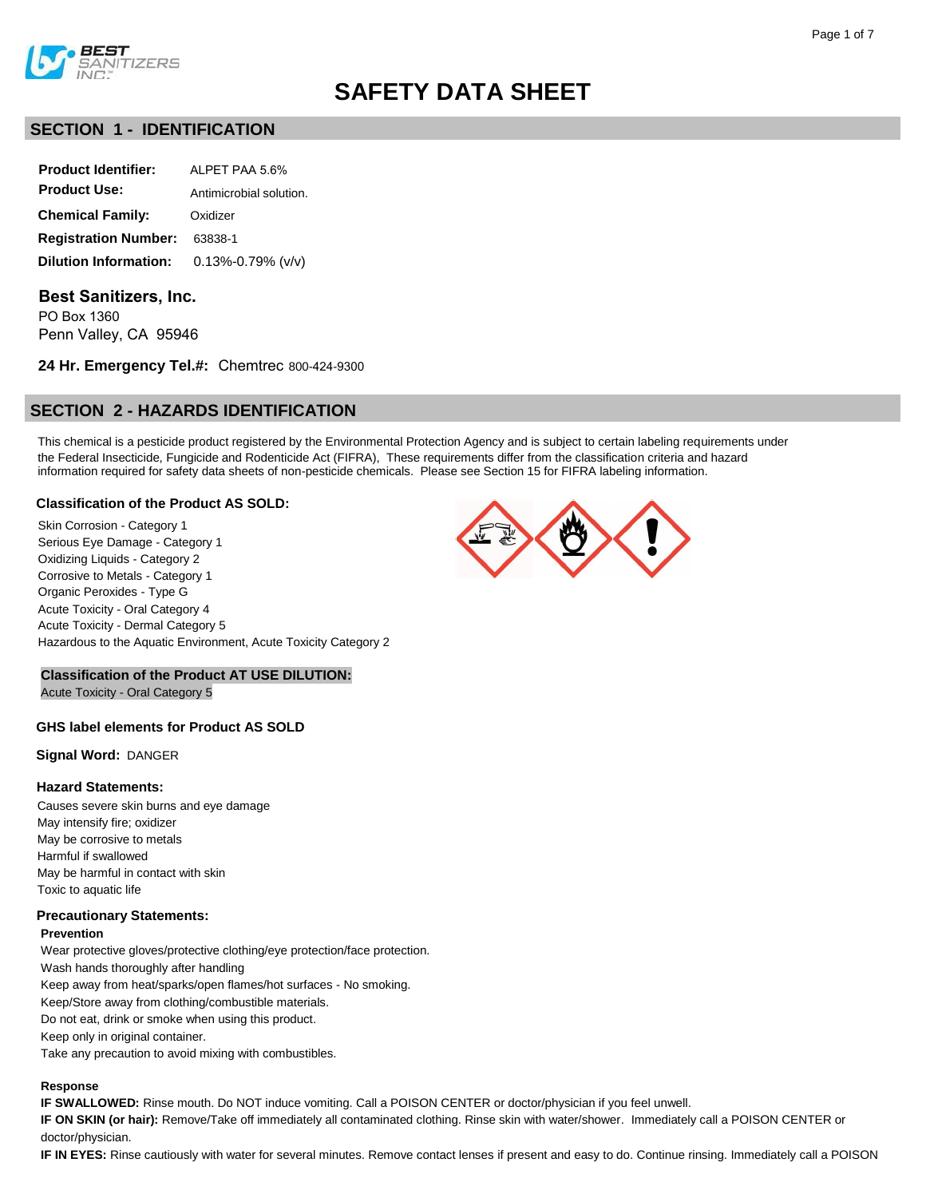

# **SECTION 1 - IDENTIFICATION**

| <b>Product Identifier:</b>   | AI PFT PAA 56%          |
|------------------------------|-------------------------|
| <b>Product Use:</b>          | Antimicrobial solution. |
| <b>Chemical Family:</b>      | Oxidizer                |
| <b>Registration Number:</b>  | 63838-1                 |
| <b>Dilution Information:</b> | $0.13\% - 0.79\%$ (v/v) |

# **Best Sanitizers, Inc.**

PO Box 1360 Penn Valley, CA 95946

**24 Hr. Emergency Tel.#:** Chemtrec 800-424-9300

# **SECTION 2 - HAZARDS IDENTIFICATION**

This chemical is a pesticide product registered by the Environmental Protection Agency and is subject to certain labeling requirements under the Federal Insecticide, Fungicide and Rodenticide Act (FIFRA), These requirements differ from the classification criteria and hazard information required for safety data sheets of non-pesticide chemicals. Please see Section 15 for FIFRA labeling information.

# **Classification of the Product AS SOLD:**

Skin Corrosion - Category 1 Serious Eye Damage - Category 1 Oxidizing Liquids - Category 2 Corrosive to Metals - Category 1 Organic Peroxides - Type G Acute Toxicity - Oral Category 4 Acute Toxicity - Dermal Category 5 Hazardous to the Aquatic Environment, Acute Toxicity Category 2



# **Classification of the Product AT USE DILUTION:**

Acute Toxicity - Oral Category 5

# **GHS label elements for Product AS SOLD**

**Signal Word:** DANGER

# **Hazard Statements:**

Causes severe skin burns and eye damage May intensify fire; oxidizer May be corrosive to metals Harmful if swallowed May be harmful in contact with skin Toxic to aquatic life

# **Precautionary Statements:**

#### **Prevention**

Wear protective gloves/protective clothing/eye protection/face protection. Wash hands thoroughly after handling Keep away from heat/sparks/open flames/hot surfaces - No smoking. Keep/Store away from clothing/combustible materials. Do not eat, drink or smoke when using this product. Keep only in original container. Take any precaution to avoid mixing with combustibles.

#### **Response**

**IF SWALLOWED:** Rinse mouth. Do NOT induce vomiting. Call a POISON CENTER or doctor/physician if you feel unwell.

**IF ON SKIN (or hair):** Remove/Take off immediately all contaminated clothing. Rinse skin with water/shower. Immediately call a POISON CENTER or doctor/physician.

**IF IN EYES:** Rinse cautiously with water for several minutes. Remove contact lenses if present and easy to do. Continue rinsing. Immediately call a POISON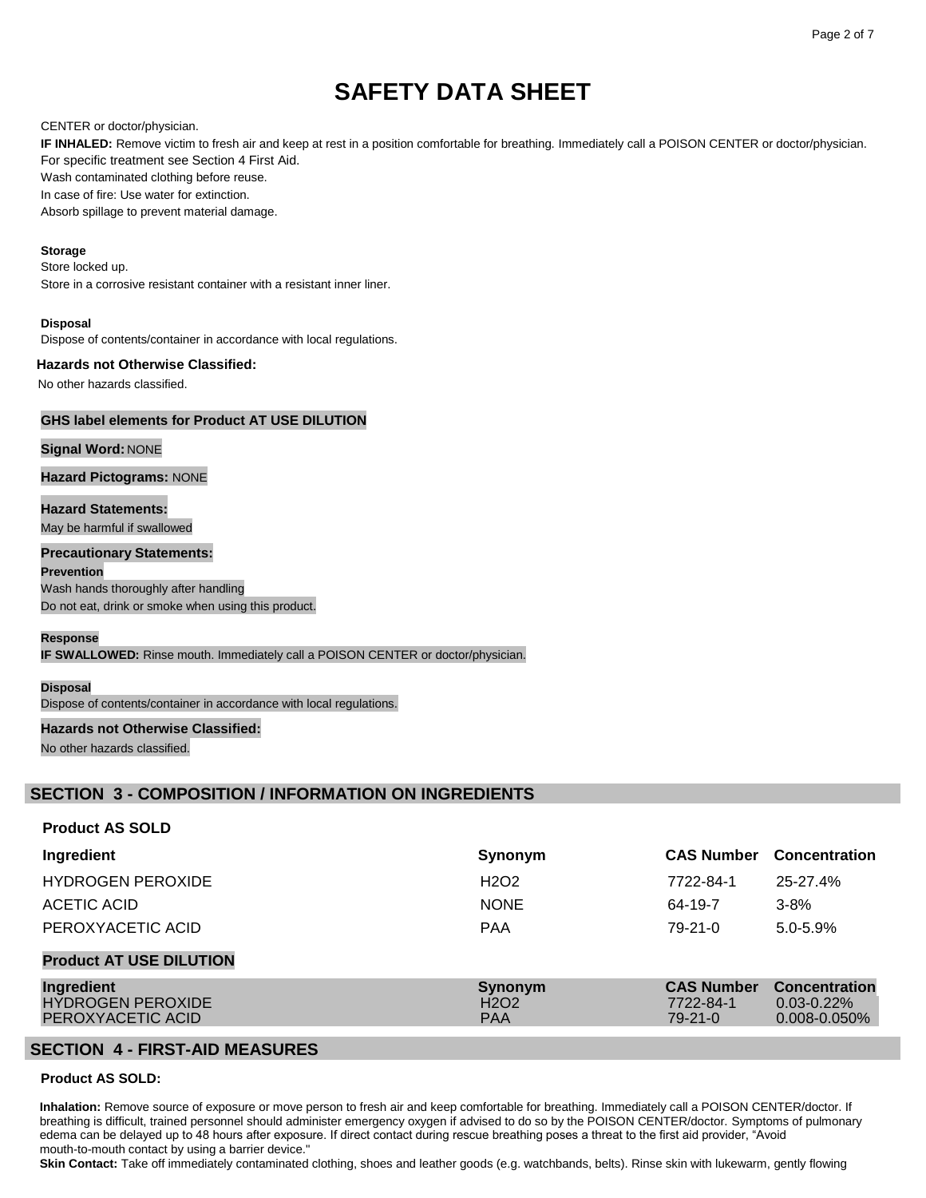### CENTER or doctor/physician.

**IF INHALED:** Remove victim to fresh air and keep at rest in a position comfortable for breathing. Immediately call a POISON CENTER or doctor/physician. For specific treatment see Section 4 First Aid.

Wash contaminated clothing before reuse.

In case of fire: Use water for extinction.

Absorb spillage to prevent material damage.

### **Storage**

Store locked up.

Store in a corrosive resistant container with a resistant inner liner.

#### **Disposal**

Dispose of contents/container in accordance with local regulations.

# **Hazards not Otherwise Classified:**

No other hazards classified.

# **GHS label elements for Product AT USE DILUTION**

# **Signal Word:** NONE

**Hazard Pictograms:** NONE

**Hazard Statements:** May be harmful if swallowed

# **Precautionary Statements:**

**Prevention** Wash hands thoroughly after handling Do not eat, drink or smoke when using this product.

#### **Response**

**IF SWALLOWED:** Rinse mouth. Immediately call a POISON CENTER or doctor/physician.

#### **Disposal**

Dispose of contents/container in accordance with local regulations.

# **Hazards not Otherwise Classified:**

No other hazards classified.

# **SECTION 3 - COMPOSITION / INFORMATION ON INGREDIENTS**

#### **Product AS SOLD**

| Ingredient                                                  | Synonym                                                | <b>CAS Number</b>                               | <b>Concentration</b>                                         |
|-------------------------------------------------------------|--------------------------------------------------------|-------------------------------------------------|--------------------------------------------------------------|
| <b>HYDROGEN PEROXIDE</b>                                    | H <sub>2</sub> O <sub>2</sub>                          | 7722-84-1                                       | 25-27.4%                                                     |
| ACETIC ACID                                                 | <b>NONE</b>                                            | 64-19-7                                         | $3 - 8%$                                                     |
| PEROXYACETIC ACID                                           | <b>PAA</b>                                             | $79-21-0$                                       | $5.0 - 5.9%$                                                 |
| <b>Product AT USE DILUTION</b>                              |                                                        |                                                 |                                                              |
| Ingredient<br><b>HYDROGEN PEROXIDE</b><br>PEROXYACETIC ACID | Synonym<br>H <sub>2</sub> O <sub>2</sub><br><b>PAA</b> | <b>CAS Number</b><br>7722-84-1<br>$79 - 21 - 0$ | <b>Concentration</b><br>$0.03 - 0.22\%$<br>$0.008 - 0.050\%$ |

# **SECTION 4 - FIRST-AID MEASURES**

#### **Product AS SOLD:**

**Inhalation:** Remove source of exposure or move person to fresh air and keep comfortable for breathing. Immediately call a POISON CENTER/doctor. If breathing is difficult, trained personnel should administer emergency oxygen if advised to do so by the POISON CENTER/doctor. Symptoms of pulmonary edema can be delayed up to 48 hours after exposure. If direct contact during rescue breathing poses a threat to the first aid provider, "Avoid mouth-to-mouth contact by using a barrier device."

**Skin Contact:** Take off immediately contaminated clothing, shoes and leather goods (e.g. watchbands, belts). Rinse skin with lukewarm, gently flowing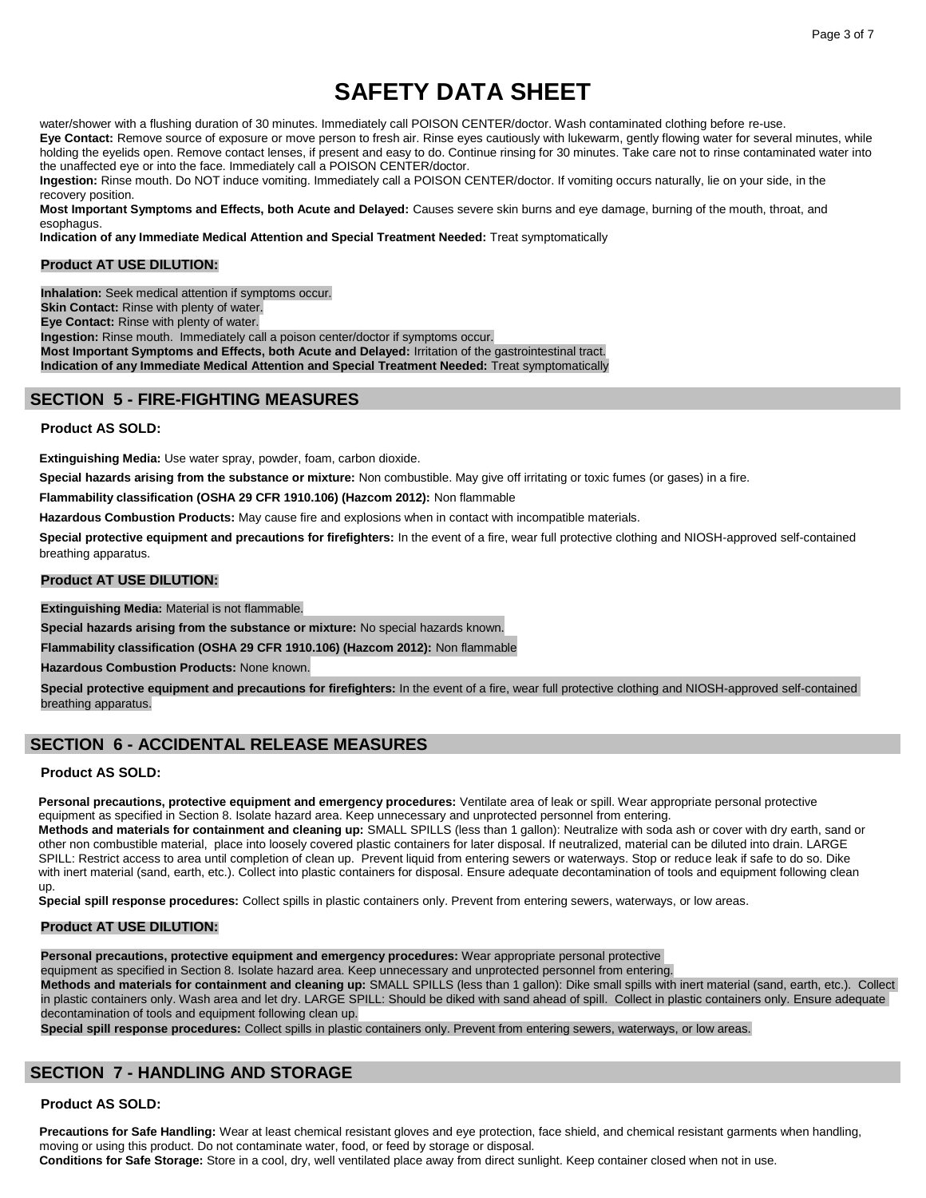water/shower with a flushing duration of 30 minutes. Immediately call POISON CENTER/doctor. Wash contaminated clothing before re-use.

**Eye Contact:** Remove source of exposure or move person to fresh air. Rinse eyes cautiously with lukewarm, gently flowing water for several minutes, while holding the eyelids open. Remove contact lenses, if present and easy to do. Continue rinsing for 30 minutes. Take care not to rinse contaminated water into the unaffected eye or into the face. Immediately call a POISON CENTER/doctor.

**Ingestion:** Rinse mouth. Do NOT induce vomiting. Immediately call a POISON CENTER/doctor. If vomiting occurs naturally, lie on your side, in the recovery position.

**Most Important Symptoms and Effects, both Acute and Delayed:** Causes severe skin burns and eye damage, burning of the mouth, throat, and esophagus.

**Indication of any Immediate Medical Attention and Special Treatment Needed:** Treat symptomatically

# **Product AT USE DILUTION:**

**Inhalation:** Seek medical attention if symptoms occur.

**Skin Contact:** Rinse with plenty of water.

**Eye Contact:** Rinse with plenty of water.

**Ingestion:** Rinse mouth. Immediately call a poison center/doctor if symptoms occur.

**Most Important Symptoms and Effects, both Acute and Delayed:** Irritation of the gastrointestinal tract. **Indication of any Immediate Medical Attention and Special Treatment Needed:** Treat symptomatically

# **SECTION 5 - FIRE-FIGHTING MEASURES**

# **Product AS SOLD:**

**Extinguishing Media:** Use water spray, powder, foam, carbon dioxide.

**Special hazards arising from the substance or mixture:** Non combustible. May give off irritating or toxic fumes (or gases) in a fire.

**Flammability classification (OSHA 29 CFR 1910.106) (Hazcom 2012):** Non flammable

**Hazardous Combustion Products:** May cause fire and explosions when in contact with incompatible materials.

**Special protective equipment and precautions for firefighters:** In the event of a fire, wear full protective clothing and NIOSH-approved self-contained breathing apparatus.

# **Product AT USE DILUTION:**

**Extinguishing Media:** Material is not flammable.

**Special hazards arising from the substance or mixture:** No special hazards known.

**Flammability classification (OSHA 29 CFR 1910.106) (Hazcom 2012):** Non flammable

**Hazardous Combustion Products:** None known.

**Special protective equipment and precautions for firefighters:** In the event of a fire, wear full protective clothing and NIOSH-approved self-contained breathing apparatus.

# **SECTION 6 - ACCIDENTAL RELEASE MEASURES**

# **Product AS SOLD:**

Personal precautions, protective equipment and emergency procedures: Ventilate area of leak or spill. Wear appropriate personal protective equipment as specified in Section 8. Isolate hazard area. Keep unnecessary and unprotected personnel from entering.

**Methods and materials for containment and cleaning up:** SMALL SPILLS (less than 1 gallon): Neutralize with soda ash or cover with dry earth, sand or other non combustible material, place into loosely covered plastic containers for later disposal. If neutralized, material can be diluted into drain. LARGE SPILL: Restrict access to area until completion of clean up. Prevent liquid from entering sewers or waterways. Stop or reduce leak if safe to do so. Dike with inert material (sand, earth, etc.). Collect into plastic containers for disposal. Ensure adequate decontamination of tools and equipment following clean up.

**Special spill response procedures:** Collect spills in plastic containers only. Prevent from entering sewers, waterways, or low areas.

# **Product AT USE DILUTION:**

**Personal precautions, protective equipment and emergency procedures:** Wear appropriate personal protective

equipment as specified in Section 8. Isolate hazard area. Keep unnecessary and unprotected personnel from entering.

**Methods and materials for containment and cleaning up:** SMALL SPILLS (less than 1 gallon): Dike small spills with inert material (sand, earth, etc.). Collect in plastic containers only. Wash area and let dry. LARGE SPILL: Should be diked with sand ahead of spill. Collect in plastic containers only. Ensure adequate decontamination of tools and equipment following clean up.

**Special spill response procedures:** Collect spills in plastic containers only. Prevent from entering sewers, waterways, or low areas.

# **SECTION 7 - HANDLING AND STORAGE**

# **Product AS SOLD:**

**Precautions for Safe Handling:** Wear at least chemical resistant gloves and eye protection, face shield, and chemical resistant garments when handling, moving or using this product. Do not contaminate water, food, or feed by storage or disposal.

**Conditions for Safe Storage:** Store in a cool, dry, well ventilated place away from direct sunlight. Keep container closed when not in use.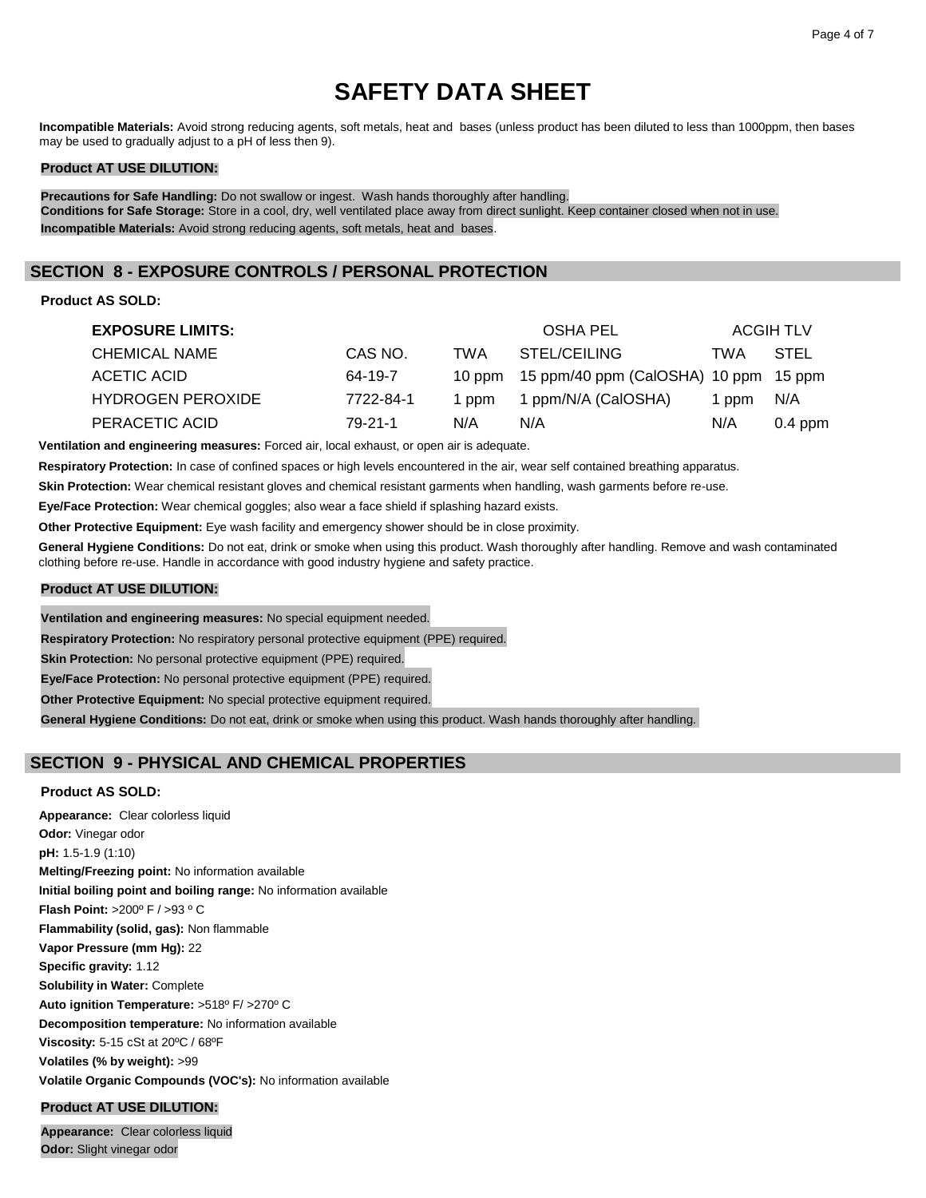**Incompatible Materials:** Avoid strong reducing agents, soft metals, heat and bases (unless product has been diluted to less than 1000ppm, then bases may be used to gradually adjust to a pH of less then 9).

# **Product AT USE DILUTION:**

**Precautions for Safe Handling:** Do not swallow or ingest. Wash hands thoroughly after handling. **Conditions for Safe Storage:** Store in a cool, dry, well ventilated place away from direct sunlight. Keep container closed when not in use. **Incompatible Materials:** Avoid strong reducing agents, soft metals, heat and bases.

# **SECTION 8 - EXPOSURE CONTROLS / PERSONAL PROTECTION**

# **Product AS SOLD:**

| <b>EXPOSURE LIMITS:</b>  |           |       | OSHA PEL                                     |       | ACGIH TLV |
|--------------------------|-----------|-------|----------------------------------------------|-------|-----------|
| <b>CHEMICAL NAME</b>     | CAS NO.   | TWA   | STEL/CEILING                                 | TWA   | STEL      |
| ACETIC ACID              | 64-19-7   |       | 10 ppm 15 ppm/40 ppm (CalOSHA) 10 ppm 15 ppm |       |           |
| <b>HYDROGEN PEROXIDE</b> | 7722-84-1 | 1 ppm | 1 ppm/N/A (CalOSHA)                          | 1 ppm | N/A       |
| PERACETIC ACID           | 79-21-1   | N/A   | N/A                                          | N/A   | $0.4$ ppm |

**Ventilation and engineering measures:** Forced air, local exhaust, or open air is adequate.

**Respiratory Protection:** In case of confined spaces or high levels encountered in the air, wear self contained breathing apparatus.

**Skin Protection:** Wear chemical resistant gloves and chemical resistant garments when handling, wash garments before re-use.

**Eye/Face Protection:** Wear chemical goggles; also wear a face shield if splashing hazard exists.

**Other Protective Equipment:** Eye wash facility and emergency shower should be in close proximity.

**General Hygiene Conditions:** Do not eat, drink or smoke when using this product. Wash thoroughly after handling. Remove and wash contaminated clothing before re-use. Handle in accordance with good industry hygiene and safety practice.

## **Product AT USE DILUTION:**

**Ventilation and engineering measures:** No special equipment needed.

**Respiratory Protection:** No respiratory personal protective equipment (PPE) required.

**Skin Protection:** No personal protective equipment (PPE) required.

**Eye/Face Protection:** No personal protective equipment (PPE) required.

**Other Protective Equipment:** No special protective equipment required.

**General Hygiene Conditions:** Do not eat, drink or smoke when using this product. Wash hands thoroughly after handling.

# **SECTION 9 - PHYSICAL AND CHEMICAL PROPERTIES**

# **Product AS SOLD:**

**Appearance:** Clear colorless liquid **Odor:** Vinegar odor **pH:** 1.5-1.9 (1:10) **Melting/Freezing point:** No information available **Initial boiling point and boiling range:** No information available **Flash Point:** >200º F / >93 º C **Flammability (solid, gas):** Non flammable **Vapor Pressure (mm Hg):** 22 **Specific gravity:** 1.12 **Solubility in Water:** Complete **Auto ignition Temperature:** >518º F/ >270º C **Decomposition temperature:** No information available **Viscosity:** 5-15 cSt at 20ºC / 68ºF **Volatiles (% by weight):** >99 **Volatile Organic Compounds (VOC's):** No information available

# **Product AT USE DILUTION:**

**Appearance:** Clear colorless liquid **Odor:** Slight vinegar odor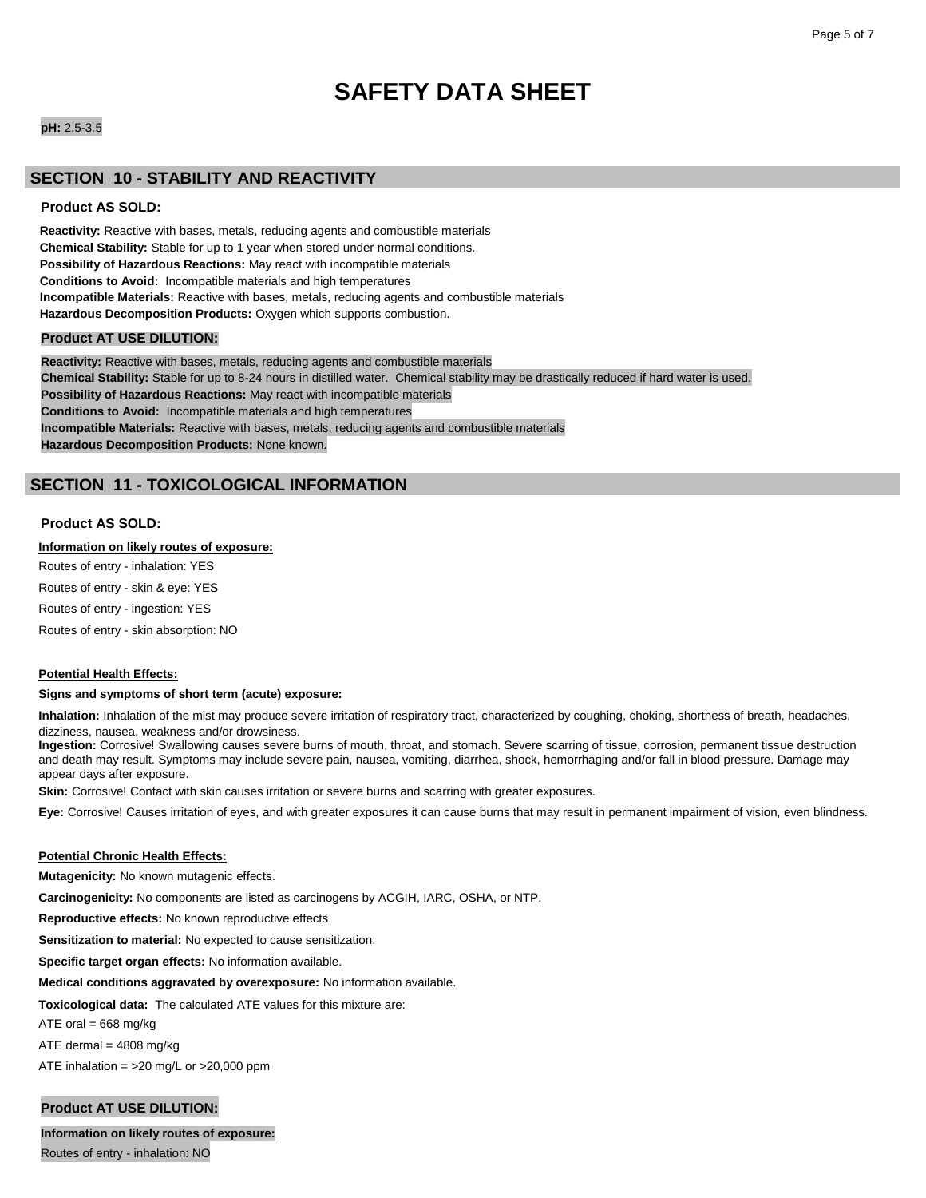# **pH:** 2.5-3.5

# **SECTION 10 - STABILITY AND REACTIVITY**

# **Product AS SOLD:**

**Reactivity:** Reactive with bases, metals, reducing agents and combustible materials **Chemical Stability:** Stable for up to 1 year when stored under normal conditions. **Possibility of Hazardous Reactions:** May react with incompatible materials **Conditions to Avoid:** Incompatible materials and high temperatures **Incompatible Materials:** Reactive with bases, metals, reducing agents and combustible materials **Hazardous Decomposition Products:** Oxygen which supports combustion.

### **Product AT USE DILUTION:**

**Reactivity:** Reactive with bases, metals, reducing agents and combustible materials **Chemical Stability:** Stable for up to 8-24 hours in distilled water. Chemical stability may be drastically reduced if hard water is used. **Possibility of Hazardous Reactions:** May react with incompatible materials **Conditions to Avoid:** Incompatible materials and high temperatures **Incompatible Materials:** Reactive with bases, metals, reducing agents and combustible materials **Hazardous Decomposition Products:** None known.

# **SECTION 11 - TOXICOLOGICAL INFORMATION**

### **Product AS SOLD:**

# **Information on likely routes of exposure:**

Routes of entry - inhalation: YES Routes of entry - skin & eye: YES Routes of entry - ingestion: YES Routes of entry - skin absorption: NO

#### **Potential Health Effects:**

#### **Signs and symptoms of short term (acute) exposure:**

**Inhalation:** Inhalation of the mist may produce severe irritation of respiratory tract, characterized by coughing, choking, shortness of breath, headaches, dizziness, nausea, weakness and/or drowsiness.

**Ingestion:** Corrosive! Swallowing causes severe burns of mouth, throat, and stomach. Severe scarring of tissue, corrosion, permanent tissue destruction and death may result. Symptoms may include severe pain, nausea, vomiting, diarrhea, shock, hemorrhaging and/or fall in blood pressure. Damage may appear days after exposure.

**Skin:** Corrosive! Contact with skin causes irritation or severe burns and scarring with greater exposures.

**Eye:** Corrosive! Causes irritation of eyes, and with greater exposures it can cause burns that may result in permanent impairment of vision, even blindness.

#### **Potential Chronic Health Effects:**

**Mutagenicity:** No known mutagenic effects.

**Carcinogenicity:** No components are listed as carcinogens by ACGIH, IARC, OSHA, or NTP.

**Reproductive effects:** No known reproductive effects.

**Sensitization to material:** No expected to cause sensitization.

**Specific target organ effects:** No information available.

**Medical conditions aggravated by overexposure:** No information available.

**Toxicological data:** The calculated ATE values for this mixture are:

ATE oral =  $668$  mg/kg

ATE dermal =  $4808$  mg/kg

ATE inhalation = >20 mg/L or >20,000 ppm

# **Product AT USE DILUTION:**

**Information on likely routes of exposure:**

Routes of entry - inhalation: NO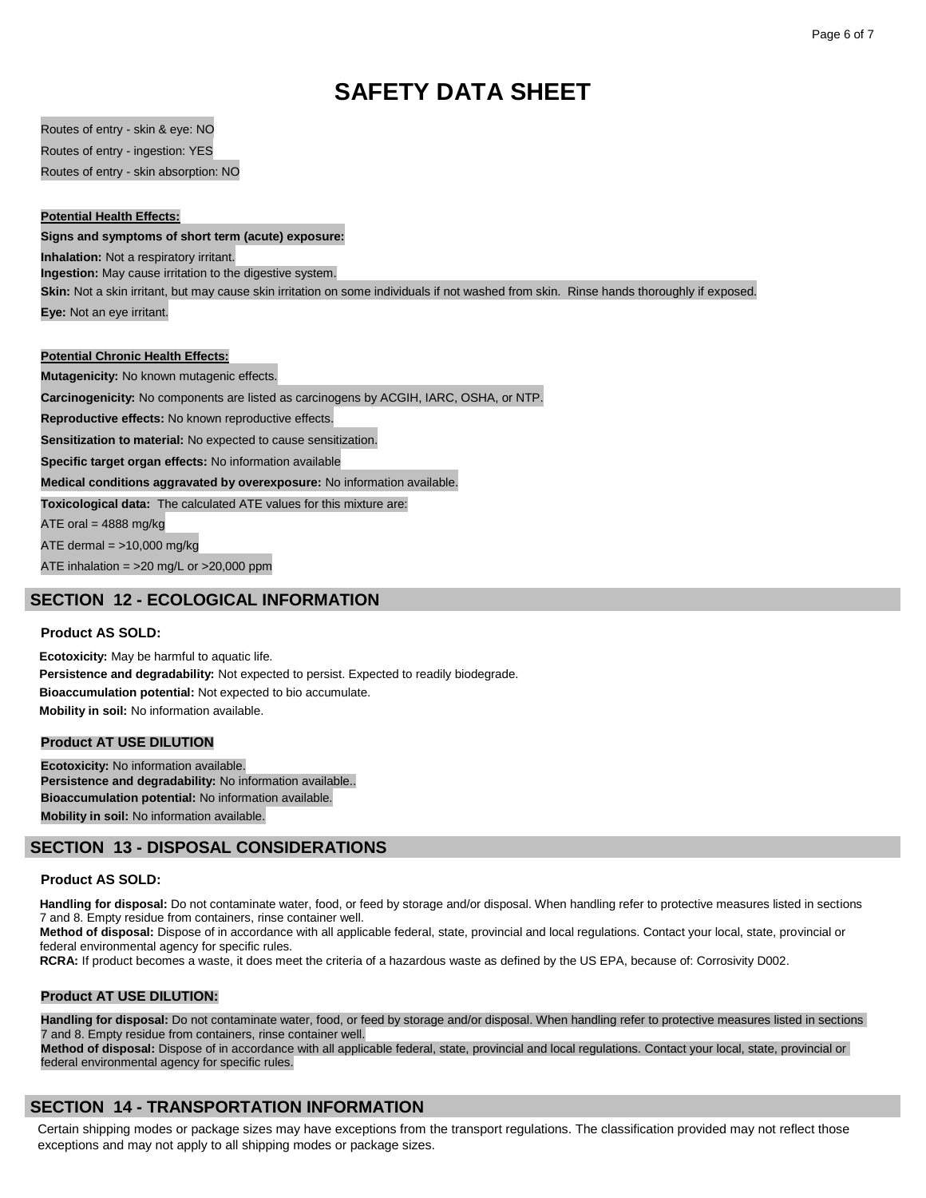Routes of entry - skin & eye: NO Routes of entry - ingestion: YES Routes of entry - skin absorption: NO

# **Potential Health Effects:**

**Signs and symptoms of short term (acute) exposure:**

**Inhalation:** Not a respiratory irritant.

**Ingestion:** May cause irritation to the digestive system.

**Skin:** Not a skin irritant, but may cause skin irritation on some individuals if not washed from skin. Rinse hands thoroughly if exposed. **Eye:** Not an eye irritant.

#### **Potential Chronic Health Effects:**

**Mutagenicity:** No known mutagenic effects.

**Carcinogenicity:** No components are listed as carcinogens by ACGIH, IARC, OSHA, or NTP.

**Reproductive effects:** No known reproductive effects.

**Sensitization to material:** No expected to cause sensitization.

**Specific target organ effects:** No information available

**Medical conditions aggravated by overexposure:** No information available.

**Toxicological data:** The calculated ATE values for this mixture are:

ATE oral  $=$  4888 mg/kg

ATE dermal  $=$  >10,000 mg/kg

ATE inhalation = >20 mg/L or >20,000 ppm

# **SECTION 12 - ECOLOGICAL INFORMATION**

# **Product AS SOLD:**

**Ecotoxicity:** May be harmful to aquatic life. **Persistence and degradability:** Not expected to persist. Expected to readily biodegrade. **Bioaccumulation potential:** Not expected to bio accumulate. **Mobility in soil:** No information available.

# **Product AT USE DILUTION**

**Ecotoxicity:** No information available. **Persistence and degradability:** No information available.. **Bioaccumulation potential:** No information available. **Mobility in soil:** No information available.

# **SECTION 13 - DISPOSAL CONSIDERATIONS**

#### **Product AS SOLD:**

**Handling for disposal:** Do not contaminate water, food, or feed by storage and/or disposal. When handling refer to protective measures listed in sections 7 and 8. Empty residue from containers, rinse container well.

**Method of disposal:** Dispose of in accordance with all applicable federal, state, provincial and local regulations. Contact your local, state, provincial or federal environmental agency for specific rules.

**RCRA:** If product becomes a waste, it does meet the criteria of a hazardous waste as defined by the US EPA, because of: Corrosivity D002.

#### **Product AT USE DILUTION:**

**Handling for disposal:** Do not contaminate water, food, or feed by storage and/or disposal. When handling refer to protective measures listed in sections 7 and 8. Empty residue from containers, rinse container well.

**Method of disposal:** Dispose of in accordance with all applicable federal, state, provincial and local regulations. Contact your local, state, provincial or federal environmental agency for specific rules.

# **SECTION 14 - TRANSPORTATION INFORMATION**

Certain shipping modes or package sizes may have exceptions from the transport regulations. The classification provided may not reflect those exceptions and may not apply to all shipping modes or package sizes.